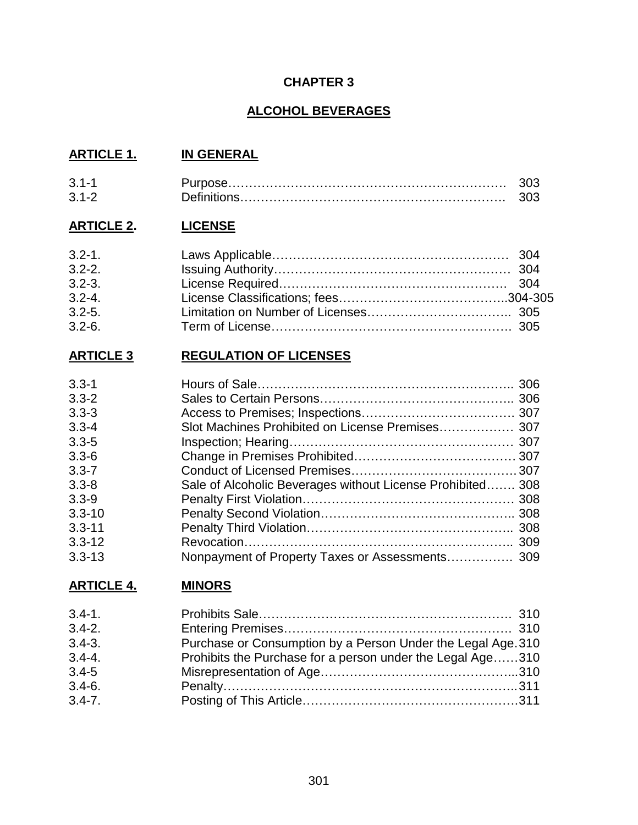# **CHAPTER 3**

# **ALCOHOL BEVERAGES**

# **ARTICLE 1. IN GENERAL**

| $3.1 -$ |  |
|---------|--|
| 3.1-2   |  |

# **ARTICLE 2. LICENSE**

| $3.2 - 1.$ |  |
|------------|--|
| $3.2 - 2.$ |  |
| $3.2 - 3.$ |  |
| $3.2 - 4.$ |  |
| $3.2 - 5.$ |  |
| $3.2 - 6.$ |  |

# **ARTICLE 3 REGULATION OF LICENSES**

| $3.3 - 1$  |                                                            |  |
|------------|------------------------------------------------------------|--|
| $3.3 - 2$  |                                                            |  |
| $3.3 - 3$  |                                                            |  |
| $3.3 - 4$  | Slot Machines Prohibited on License Premises 307           |  |
| $3.3 - 5$  |                                                            |  |
| $3.3 - 6$  |                                                            |  |
| $3.3 - 7$  |                                                            |  |
| $3.3 - 8$  | Sale of Alcoholic Beverages without License Prohibited 308 |  |
| $3.3 - 9$  |                                                            |  |
| $3.3 - 10$ |                                                            |  |
| $3.3 - 11$ |                                                            |  |
| $3.3 - 12$ |                                                            |  |
| $3.3 - 13$ | Nonpayment of Property Taxes or Assessments 309            |  |

# **ARTICLE 4. MINORS**

| $3.4 - 1.$ |                                                              |
|------------|--------------------------------------------------------------|
| $3.4 - 2.$ |                                                              |
| $3.4 - 3.$ | Purchase or Consumption by a Person Under the Legal Age. 310 |
| $3.4 - 4.$ | Prohibits the Purchase for a person under the Legal Age310   |
| $3.4 - 5$  |                                                              |
| $3.4 - 6.$ |                                                              |
| $3.4 - 7.$ |                                                              |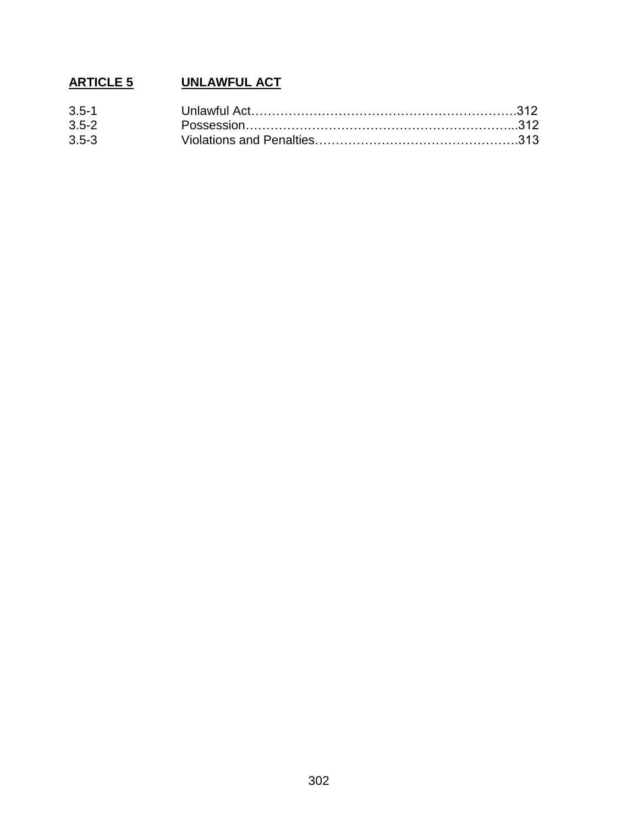# **ARTICLE 5 UNLAWFUL ACT**

| $3.5 - 1$ |  |
|-----------|--|
| $3.5 - 2$ |  |
| $3.5 - 3$ |  |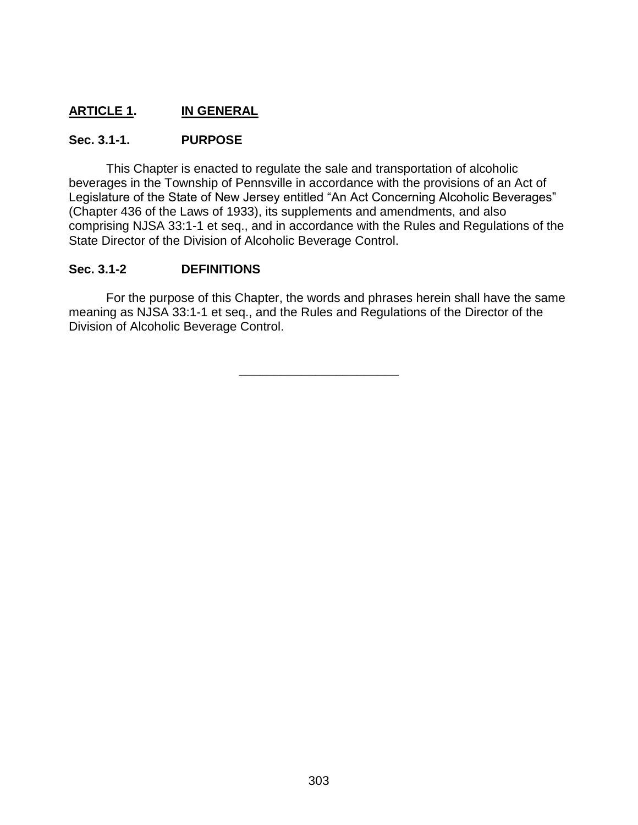# **ARTICLE 1. IN GENERAL**

### **Sec. 3.1-1. PURPOSE**

This Chapter is enacted to regulate the sale and transportation of alcoholic beverages in the Township of Pennsville in accordance with the provisions of an Act of Legislature of the State of New Jersey entitled "An Act Concerning Alcoholic Beverages" (Chapter 436 of the Laws of 1933), its supplements and amendments, and also comprising NJSA 33:1-1 et seq., and in accordance with the Rules and Regulations of the State Director of the Division of Alcoholic Beverage Control.

### **Sec. 3.1-2 DEFINITIONS**

For the purpose of this Chapter, the words and phrases herein shall have the same meaning as NJSA 33:1-1 et seq., and the Rules and Regulations of the Director of the Division of Alcoholic Beverage Control.

**\_\_\_\_\_\_\_\_\_\_\_\_\_\_\_\_\_\_\_\_\_\_\_**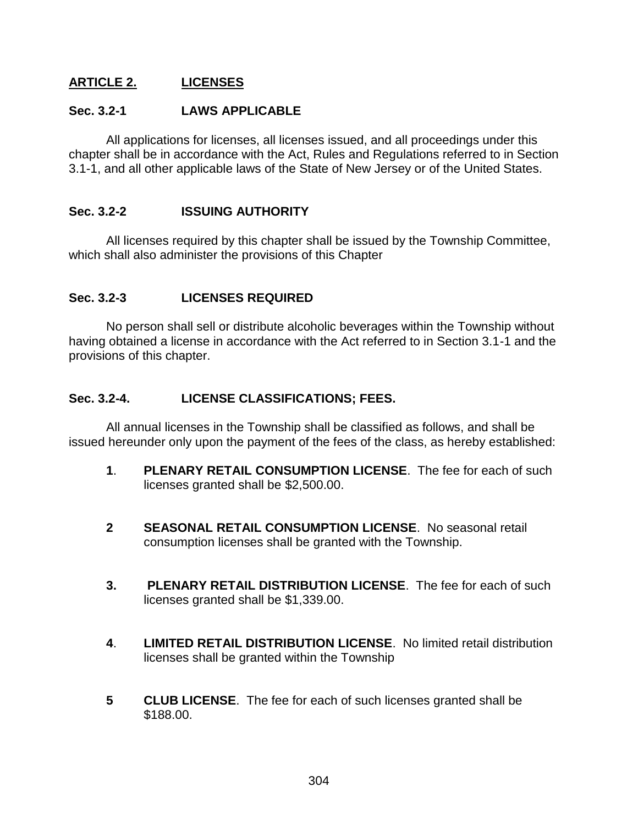# **ARTICLE 2. LICENSES**

#### **Sec. 3.2-1 LAWS APPLICABLE**

All applications for licenses, all licenses issued, and all proceedings under this chapter shall be in accordance with the Act, Rules and Regulations referred to in Section 3.1-1, and all other applicable laws of the State of New Jersey or of the United States.

### **Sec. 3.2-2 ISSUING AUTHORITY**

All licenses required by this chapter shall be issued by the Township Committee, which shall also administer the provisions of this Chapter

## **Sec. 3.2-3 LICENSES REQUIRED**

No person shall sell or distribute alcoholic beverages within the Township without having obtained a license in accordance with the Act referred to in Section 3.1-1 and the provisions of this chapter.

#### **Sec. 3.2-4. LICENSE CLASSIFICATIONS; FEES.**

All annual licenses in the Township shall be classified as follows, and shall be issued hereunder only upon the payment of the fees of the class, as hereby established:

- **1**. **PLENARY RETAIL CONSUMPTION LICENSE**. The fee for each of such licenses granted shall be \$2,500.00.
- **2 SEASONAL RETAIL CONSUMPTION LICENSE**. No seasonal retail consumption licenses shall be granted with the Township.
- **3. PLENARY RETAIL DISTRIBUTION LICENSE**. The fee for each of such licenses granted shall be \$1,339.00.
- **4**. **LIMITED RETAIL DISTRIBUTION LICENSE**. No limited retail distribution licenses shall be granted within the Township
- **5 CLUB LICENSE**. The fee for each of such licenses granted shall be \$188.00.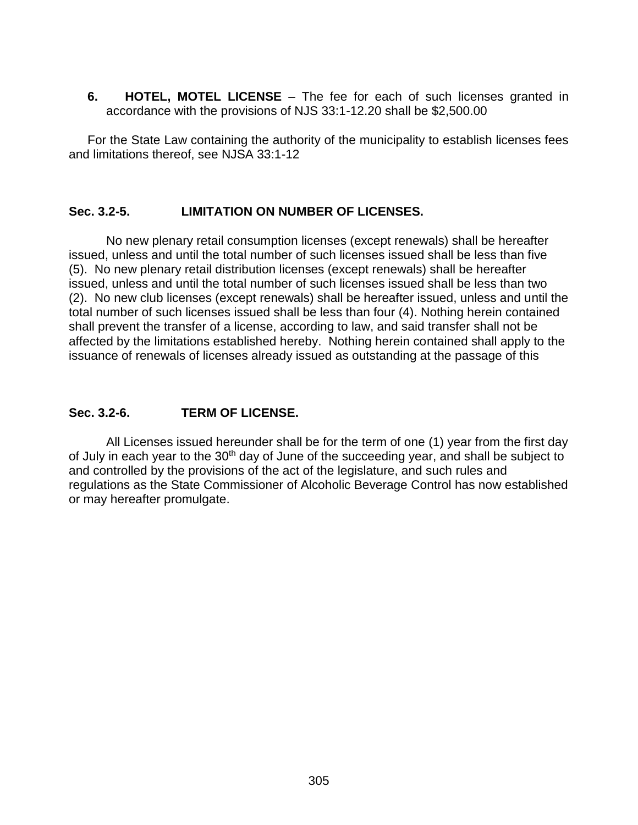**6. HOTEL, MOTEL LICENSE** – The fee for each of such licenses granted in accordance with the provisions of NJS 33:1-12.20 shall be \$2,500.00

For the State Law containing the authority of the municipality to establish licenses fees and limitations thereof, see NJSA 33:1-12

#### **Sec. 3.2-5. LIMITATION ON NUMBER OF LICENSES.**

No new plenary retail consumption licenses (except renewals) shall be hereafter issued, unless and until the total number of such licenses issued shall be less than five (5). No new plenary retail distribution licenses (except renewals) shall be hereafter issued, unless and until the total number of such licenses issued shall be less than two (2). No new club licenses (except renewals) shall be hereafter issued, unless and until the total number of such licenses issued shall be less than four (4). Nothing herein contained shall prevent the transfer of a license, according to law, and said transfer shall not be affected by the limitations established hereby. Nothing herein contained shall apply to the issuance of renewals of licenses already issued as outstanding at the passage of this

### **Sec. 3.2-6. TERM OF LICENSE.**

All Licenses issued hereunder shall be for the term of one (1) year from the first day of July in each year to the 30<sup>th</sup> day of June of the succeeding year, and shall be subject to and controlled by the provisions of the act of the legislature, and such rules and regulations as the State Commissioner of Alcoholic Beverage Control has now established or may hereafter promulgate.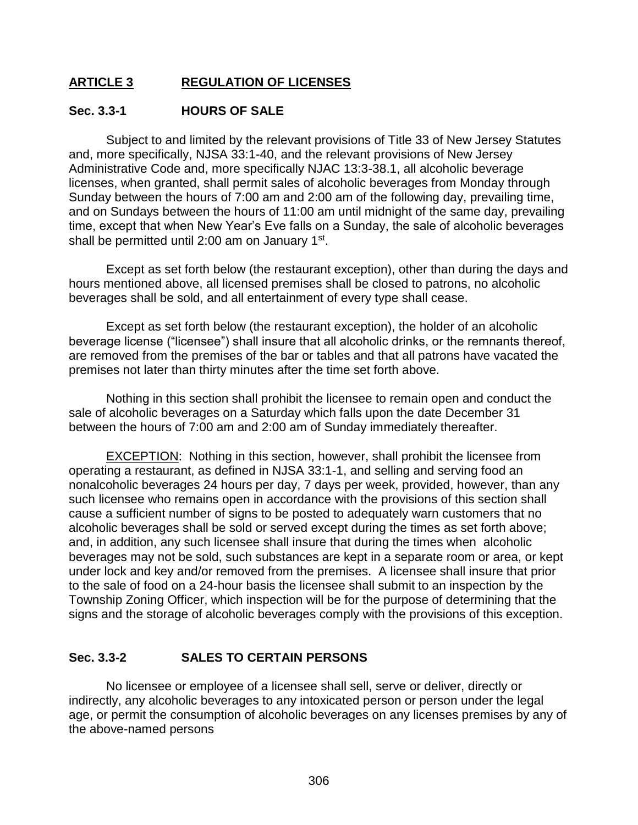# **ARTICLE 3 REGULATION OF LICENSES**

#### **Sec. 3.3-1 HOURS OF SALE**

Subject to and limited by the relevant provisions of Title 33 of New Jersey Statutes and, more specifically, NJSA 33:1-40, and the relevant provisions of New Jersey Administrative Code and, more specifically NJAC 13:3-38.1, all alcoholic beverage licenses, when granted, shall permit sales of alcoholic beverages from Monday through Sunday between the hours of 7:00 am and 2:00 am of the following day, prevailing time, and on Sundays between the hours of 11:00 am until midnight of the same day, prevailing time, except that when New Year's Eve falls on a Sunday, the sale of alcoholic beverages shall be permitted until 2:00 am on January 1<sup>st</sup>.

Except as set forth below (the restaurant exception), other than during the days and hours mentioned above, all licensed premises shall be closed to patrons, no alcoholic beverages shall be sold, and all entertainment of every type shall cease.

Except as set forth below (the restaurant exception), the holder of an alcoholic beverage license ("licensee") shall insure that all alcoholic drinks, or the remnants thereof, are removed from the premises of the bar or tables and that all patrons have vacated the premises not later than thirty minutes after the time set forth above.

Nothing in this section shall prohibit the licensee to remain open and conduct the sale of alcoholic beverages on a Saturday which falls upon the date December 31 between the hours of 7:00 am and 2:00 am of Sunday immediately thereafter.

EXCEPTION: Nothing in this section, however, shall prohibit the licensee from operating a restaurant, as defined in NJSA 33:1-1, and selling and serving food an nonalcoholic beverages 24 hours per day, 7 days per week, provided, however, than any such licensee who remains open in accordance with the provisions of this section shall cause a sufficient number of signs to be posted to adequately warn customers that no alcoholic beverages shall be sold or served except during the times as set forth above; and, in addition, any such licensee shall insure that during the times when alcoholic beverages may not be sold, such substances are kept in a separate room or area, or kept under lock and key and/or removed from the premises. A licensee shall insure that prior to the sale of food on a 24-hour basis the licensee shall submit to an inspection by the Township Zoning Officer, which inspection will be for the purpose of determining that the signs and the storage of alcoholic beverages comply with the provisions of this exception.

## **Sec. 3.3-2 SALES TO CERTAIN PERSONS**

No licensee or employee of a licensee shall sell, serve or deliver, directly or indirectly, any alcoholic beverages to any intoxicated person or person under the legal age, or permit the consumption of alcoholic beverages on any licenses premises by any of the above-named persons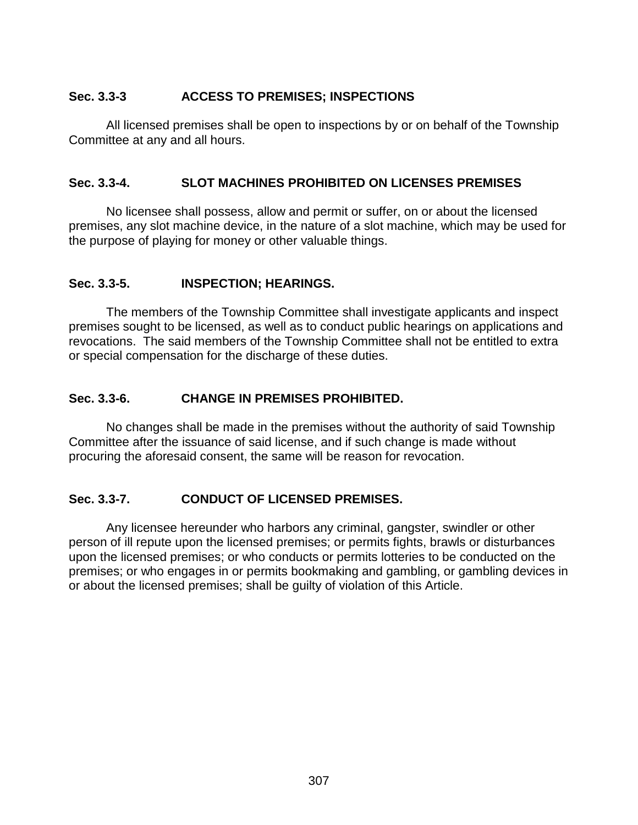## **Sec. 3.3-3 ACCESS TO PREMISES; INSPECTIONS**

All licensed premises shall be open to inspections by or on behalf of the Township Committee at any and all hours.

### **Sec. 3.3-4. SLOT MACHINES PROHIBITED ON LICENSES PREMISES**

No licensee shall possess, allow and permit or suffer, on or about the licensed premises, any slot machine device, in the nature of a slot machine, which may be used for the purpose of playing for money or other valuable things.

### **Sec. 3.3-5. INSPECTION; HEARINGS.**

The members of the Township Committee shall investigate applicants and inspect premises sought to be licensed, as well as to conduct public hearings on applications and revocations. The said members of the Township Committee shall not be entitled to extra or special compensation for the discharge of these duties.

### **Sec. 3.3-6. CHANGE IN PREMISES PROHIBITED.**

No changes shall be made in the premises without the authority of said Township Committee after the issuance of said license, and if such change is made without procuring the aforesaid consent, the same will be reason for revocation.

## **Sec. 3.3-7. CONDUCT OF LICENSED PREMISES.**

Any licensee hereunder who harbors any criminal, gangster, swindler or other person of ill repute upon the licensed premises; or permits fights, brawls or disturbances upon the licensed premises; or who conducts or permits lotteries to be conducted on the premises; or who engages in or permits bookmaking and gambling, or gambling devices in or about the licensed premises; shall be guilty of violation of this Article.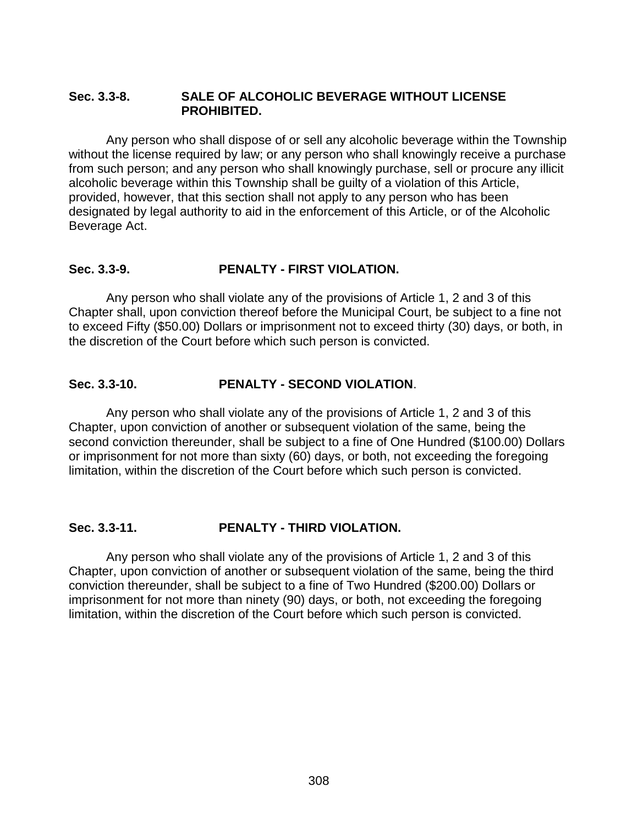#### **Sec. 3.3-8. SALE OF ALCOHOLIC BEVERAGE WITHOUT LICENSE PROHIBITED.**

Any person who shall dispose of or sell any alcoholic beverage within the Township without the license required by law; or any person who shall knowingly receive a purchase from such person; and any person who shall knowingly purchase, sell or procure any illicit alcoholic beverage within this Township shall be guilty of a violation of this Article, provided, however, that this section shall not apply to any person who has been designated by legal authority to aid in the enforcement of this Article, or of the Alcoholic Beverage Act.

#### **Sec. 3.3-9. PENALTY - FIRST VIOLATION.**

Any person who shall violate any of the provisions of Article 1, 2 and 3 of this Chapter shall, upon conviction thereof before the Municipal Court, be subject to a fine not to exceed Fifty (\$50.00) Dollars or imprisonment not to exceed thirty (30) days, or both, in the discretion of the Court before which such person is convicted.

#### **Sec. 3.3-10. PENALTY - SECOND VIOLATION**.

Any person who shall violate any of the provisions of Article 1, 2 and 3 of this Chapter, upon conviction of another or subsequent violation of the same, being the second conviction thereunder, shall be subject to a fine of One Hundred (\$100.00) Dollars or imprisonment for not more than sixty (60) days, or both, not exceeding the foregoing limitation, within the discretion of the Court before which such person is convicted.

#### **Sec. 3.3-11. PENALTY - THIRD VIOLATION.**

Any person who shall violate any of the provisions of Article 1, 2 and 3 of this Chapter, upon conviction of another or subsequent violation of the same, being the third conviction thereunder, shall be subject to a fine of Two Hundred (\$200.00) Dollars or imprisonment for not more than ninety (90) days, or both, not exceeding the foregoing limitation, within the discretion of the Court before which such person is convicted.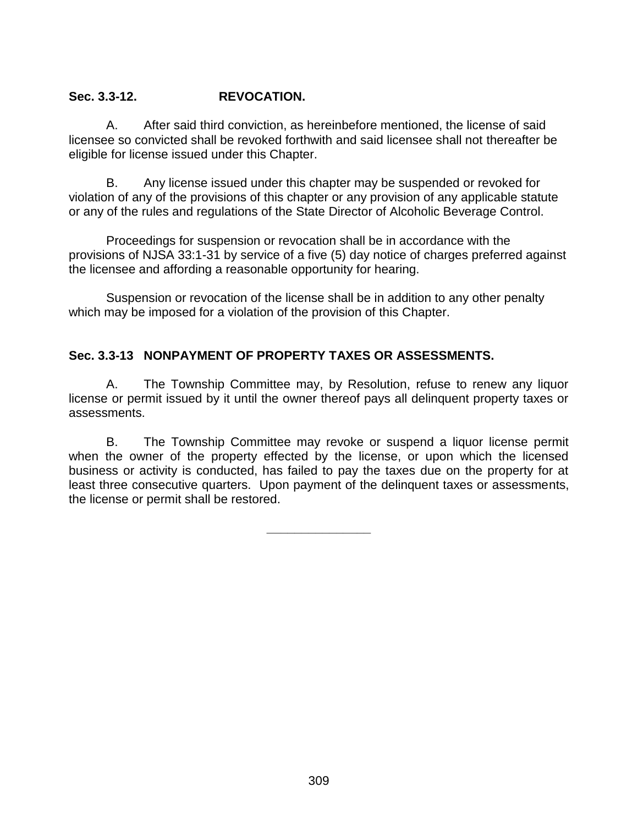### **Sec. 3.3-12. REVOCATION.**

A. After said third conviction, as hereinbefore mentioned, the license of said licensee so convicted shall be revoked forthwith and said licensee shall not thereafter be eligible for license issued under this Chapter.

B. Any license issued under this chapter may be suspended or revoked for violation of any of the provisions of this chapter or any provision of any applicable statute or any of the rules and regulations of the State Director of Alcoholic Beverage Control.

Proceedings for suspension or revocation shall be in accordance with the provisions of NJSA 33:1-31 by service of a five (5) day notice of charges preferred against the licensee and affording a reasonable opportunity for hearing.

Suspension or revocation of the license shall be in addition to any other penalty which may be imposed for a violation of the provision of this Chapter.

# **Sec. 3.3-13 NONPAYMENT OF PROPERTY TAXES OR ASSESSMENTS.**

A. The Township Committee may, by Resolution, refuse to renew any liquor license or permit issued by it until the owner thereof pays all delinquent property taxes or assessments.

B. The Township Committee may revoke or suspend a liquor license permit when the owner of the property effected by the license, or upon which the licensed business or activity is conducted, has failed to pay the taxes due on the property for at least three consecutive quarters. Upon payment of the delinquent taxes or assessments, the license or permit shall be restored.

**\_\_\_\_\_\_\_\_\_\_\_\_\_\_\_**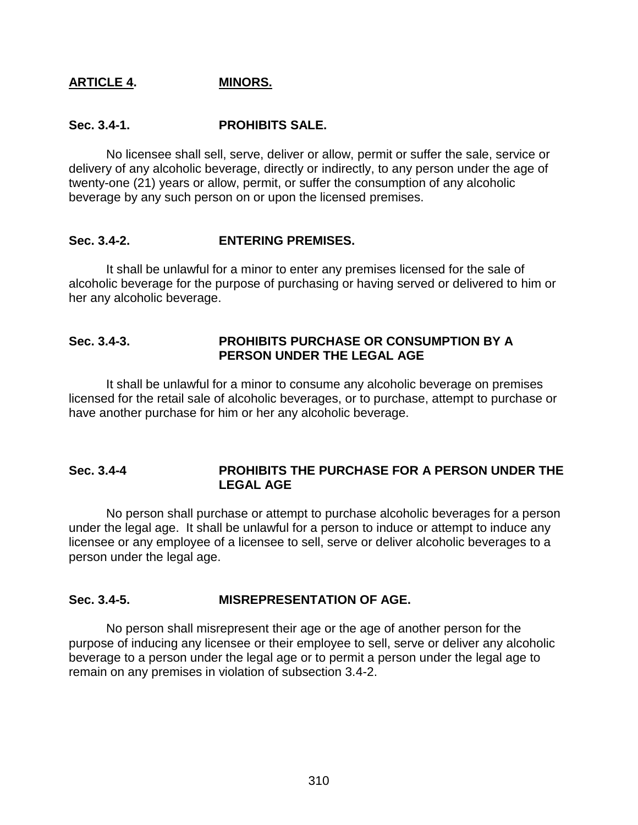#### **ARTICLE 4. MINORS.**

#### **Sec. 3.4-1. PROHIBITS SALE.**

No licensee shall sell, serve, deliver or allow, permit or suffer the sale, service or delivery of any alcoholic beverage, directly or indirectly, to any person under the age of twenty-one (21) years or allow, permit, or suffer the consumption of any alcoholic beverage by any such person on or upon the licensed premises.

#### **Sec. 3.4-2. ENTERING PREMISES.**

It shall be unlawful for a minor to enter any premises licensed for the sale of alcoholic beverage for the purpose of purchasing or having served or delivered to him or her any alcoholic beverage.

#### **Sec. 3.4-3. PROHIBITS PURCHASE OR CONSUMPTION BY A PERSON UNDER THE LEGAL AGE**

It shall be unlawful for a minor to consume any alcoholic beverage on premises licensed for the retail sale of alcoholic beverages, or to purchase, attempt to purchase or have another purchase for him or her any alcoholic beverage.

#### **Sec. 3.4-4 PROHIBITS THE PURCHASE FOR A PERSON UNDER THE LEGAL AGE**

No person shall purchase or attempt to purchase alcoholic beverages for a person under the legal age. It shall be unlawful for a person to induce or attempt to induce any licensee or any employee of a licensee to sell, serve or deliver alcoholic beverages to a person under the legal age.

#### **Sec. 3.4-5. MISREPRESENTATION OF AGE.**

No person shall misrepresent their age or the age of another person for the purpose of inducing any licensee or their employee to sell, serve or deliver any alcoholic beverage to a person under the legal age or to permit a person under the legal age to remain on any premises in violation of subsection 3.4-2.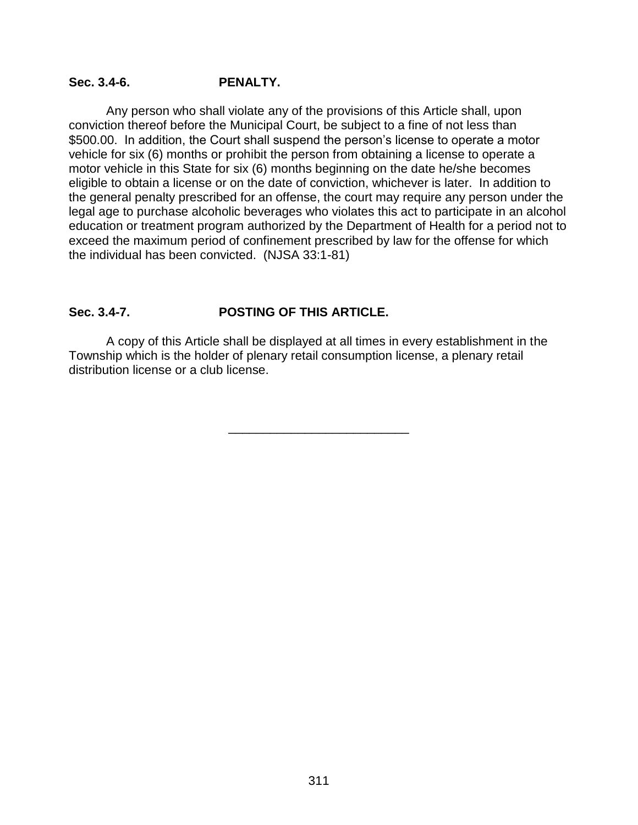### **Sec. 3.4-6. PENALTY.**

Any person who shall violate any of the provisions of this Article shall, upon conviction thereof before the Municipal Court, be subject to a fine of not less than \$500.00. In addition, the Court shall suspend the person's license to operate a motor vehicle for six (6) months or prohibit the person from obtaining a license to operate a motor vehicle in this State for six (6) months beginning on the date he/she becomes eligible to obtain a license or on the date of conviction, whichever is later. In addition to the general penalty prescribed for an offense, the court may require any person under the legal age to purchase alcoholic beverages who violates this act to participate in an alcohol education or treatment program authorized by the Department of Health for a period not to exceed the maximum period of confinement prescribed by law for the offense for which the individual has been convicted. (NJSA 33:1-81)

### **Sec. 3.4-7. POSTING OF THIS ARTICLE.**

A copy of this Article shall be displayed at all times in every establishment in the Township which is the holder of plenary retail consumption license, a plenary retail distribution license or a club license.

\_\_\_\_\_\_\_\_\_\_\_\_\_\_\_\_\_\_\_\_\_\_\_\_\_\_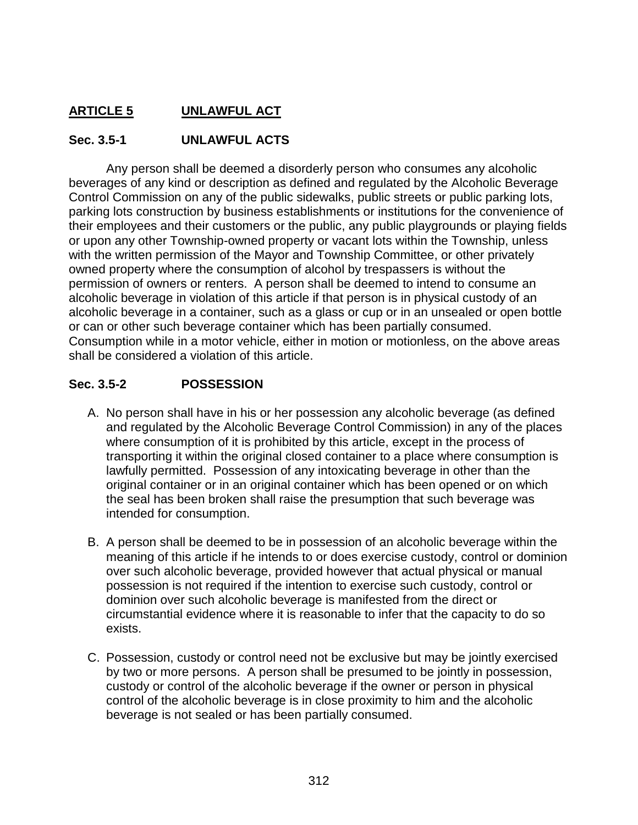# **ARTICLE 5 UNLAWFUL ACT**

## **Sec. 3.5-1 UNLAWFUL ACTS**

Any person shall be deemed a disorderly person who consumes any alcoholic beverages of any kind or description as defined and regulated by the Alcoholic Beverage Control Commission on any of the public sidewalks, public streets or public parking lots, parking lots construction by business establishments or institutions for the convenience of their employees and their customers or the public, any public playgrounds or playing fields or upon any other Township-owned property or vacant lots within the Township, unless with the written permission of the Mayor and Township Committee, or other privately owned property where the consumption of alcohol by trespassers is without the permission of owners or renters. A person shall be deemed to intend to consume an alcoholic beverage in violation of this article if that person is in physical custody of an alcoholic beverage in a container, such as a glass or cup or in an unsealed or open bottle or can or other such beverage container which has been partially consumed. Consumption while in a motor vehicle, either in motion or motionless, on the above areas shall be considered a violation of this article.

## **Sec. 3.5-2 POSSESSION**

- A. No person shall have in his or her possession any alcoholic beverage (as defined and regulated by the Alcoholic Beverage Control Commission) in any of the places where consumption of it is prohibited by this article, except in the process of transporting it within the original closed container to a place where consumption is lawfully permitted. Possession of any intoxicating beverage in other than the original container or in an original container which has been opened or on which the seal has been broken shall raise the presumption that such beverage was intended for consumption.
- B. A person shall be deemed to be in possession of an alcoholic beverage within the meaning of this article if he intends to or does exercise custody, control or dominion over such alcoholic beverage, provided however that actual physical or manual possession is not required if the intention to exercise such custody, control or dominion over such alcoholic beverage is manifested from the direct or circumstantial evidence where it is reasonable to infer that the capacity to do so exists.
- C. Possession, custody or control need not be exclusive but may be jointly exercised by two or more persons. A person shall be presumed to be jointly in possession, custody or control of the alcoholic beverage if the owner or person in physical control of the alcoholic beverage is in close proximity to him and the alcoholic beverage is not sealed or has been partially consumed.